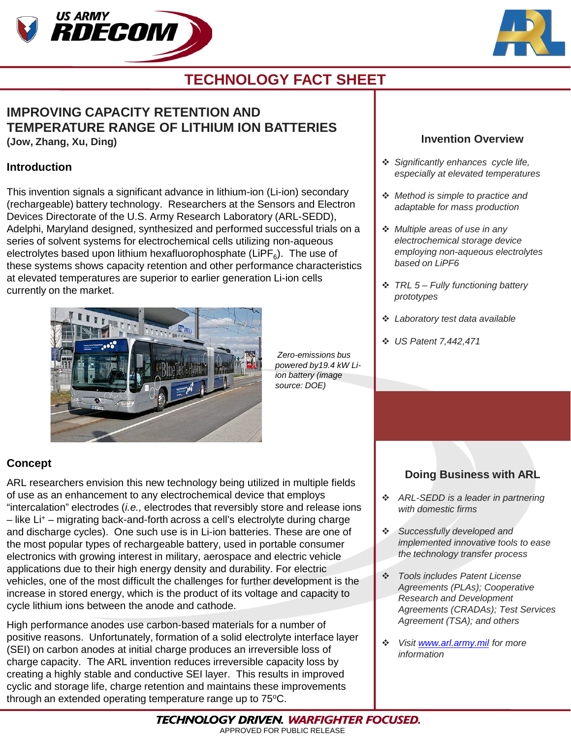



# **TECHNOLOGY FACT SHEET**

# **IMPROVING CAPACITY RETENTION AND TEMPERATURE RANGE OF LITHIUM ION BATTERIES**

**(Jow, Zhang, Xu, Ding)**

### **Introduction**

This invention signals a significant advance in lithium-ion (Li-ion) secondary (rechargeable) battery technology. Researchers at the Sensors and Electron Devices Directorate of the U.S. Army Research Laboratory (ARL-SEDD), Adelphi, Maryland designed, synthesized and performed successful trials on a series of solvent systems for electrochemical cells utilizing non-aqueous electrolytes based upon lithium hexafluorophosphate (LiPF $_{6}$ ). The use of these systems shows capacity retention and other performance characteristics at elevated temperatures are superior to earlier generation Li-ion cells currently on the market.



*Zero-emissions bus powered by19.4 kW Liion battery (image source: DOE)*

### **Invention Overview**

- *Significantly enhances cycle life, especially at elevated temperatures*
- *Method is simple to practice and adaptable for mass production*
- *Multiple areas of use in any electrochemical storage device employing non-aqueous electrolytes based on LiPF6*
- *TRL 5 – Fully functioning battery prototypes*
- *Laboratory test data available*
- *US Patent 7,442,471*

## **Concept**

ARL researchers envision this new technology being utilized in multiple fields of use as an enhancement to any electrochemical device that employs "intercalation" electrodes (*i.e.,* electrodes that reversibly store and release ions – like Li+ – migrating back-and-forth across a cell's electrolyte during charge and discharge cycles). One such use is in Li-ion batteries. These are one of the most popular types of rechargeable battery, used in portable consumer electronics with growing interest in military, aerospace and electric vehicle applications due to their high energy density and durability. For electric vehicles, one of the most difficult the challenges for further development is the increase in stored energy, which is the product of its voltage and capacity to cycle lithium ions between the anode and cathode.

High performance anodes use carbon-based materials for a number of positive reasons. Unfortunately, formation of a solid electrolyte interface layer (SEI) on carbon anodes at initial charge produces an irreversible loss of charge capacity. The ARL invention reduces irreversible capacity loss by creating a highly stable and conductive SEI layer. This results in improved cyclic and storage life, charge retention and maintains these improvements through an extended operating temperature range up to 75°C.

## **Doing Business with ARL**

- *ARL-SEDD is a leader in partnering with domestic firms*
- *Successfully developed and implemented innovative tools to ease the technology transfer process*
- *Tools includes Patent License Agreements (PLAs); Cooperative Research and Development Agreements (CRADAs); Test Services Agreement (TSA); and others*
- *Visit [www.arl.army.mil](http://www.arl.army.mil/) for more information*